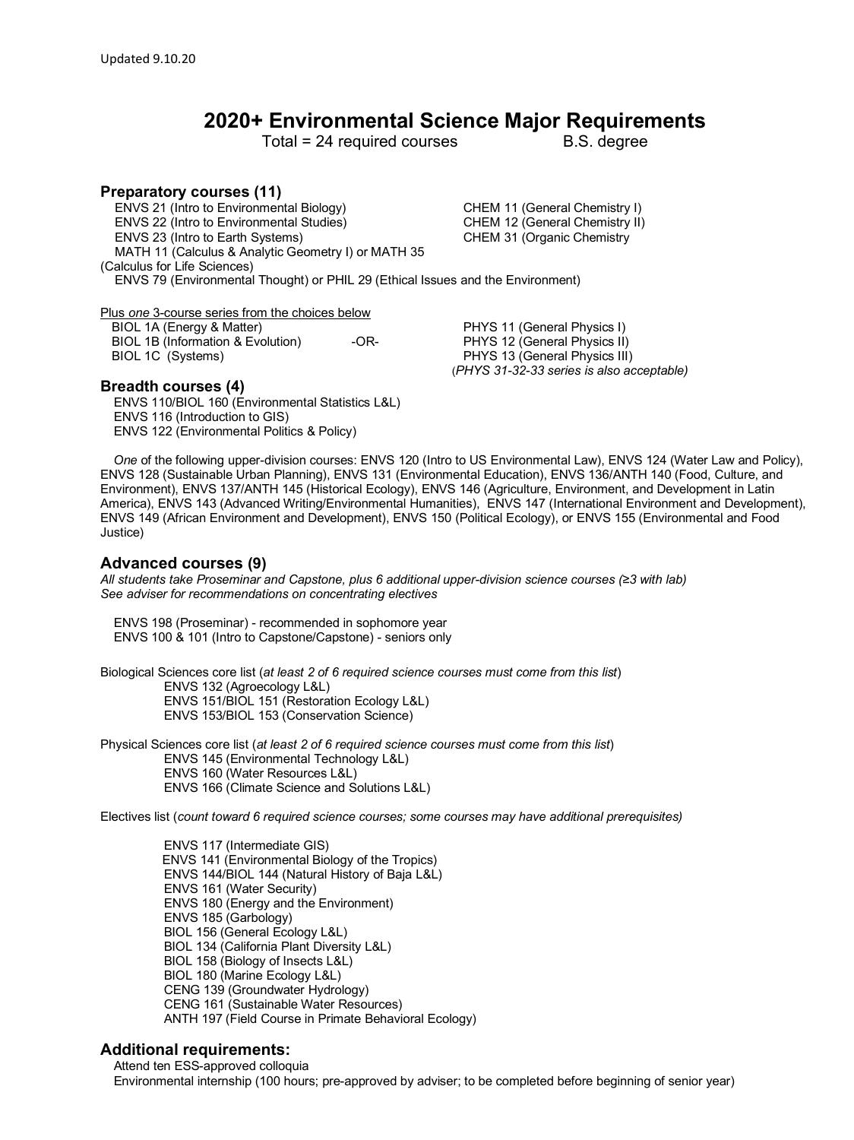## **2020+ Environmental Science Major Requirements**

Total = 24 required courses B.S. degree

**Preparatory courses (11)** ENVS 21 (Intro to Environmental Biology) CHEM 11 (General Chemistry I) ENVS 22 (Intro to Environmental Studies) CHEM 12 (General Chemistry II) ENVS 23 (Intro to Earth Systems) CHEM 31 (Organic Chemistry MATH 11 (Calculus & Analytic Geometry I) or MATH 35 (Calculus for Life Sciences) ENVS 79 (Environmental Thought) or PHIL 29 (Ethical Issues and the Environment)

Plus *one* 3-course series from the choices below

BIOL 1B (Information & Evolution) - OR- PHYS 12 (General Physics II) BIOL 1C (Systems) PHYS 13 (General Physics III)

BIOL 1A (Energy & Matter) **EXECUTE:** PHYS 11 (General Physics I) (*PHYS 31-32-33 series is also acceptable)*

## **Breadth courses (4)**

 ENVS 110/BIOL 160 (Environmental Statistics L&L) ENVS 116 (Introduction to GIS) ENVS 122 (Environmental Politics & Policy)

 *One* of the following upper-division courses: ENVS 120 (Intro to US Environmental Law), ENVS 124 (Water Law and Policy), ENVS 128 (Sustainable Urban Planning), ENVS 131 (Environmental Education), ENVS 136/ANTH 140 (Food, Culture, and Environment), ENVS 137/ANTH 145 (Historical Ecology), ENVS 146 (Agriculture, Environment, and Development in Latin America), ENVS 143 (Advanced Writing/Environmental Humanities), ENVS 147 (International Environment and Development), ENVS 149 (African Environment and Development), ENVS 150 (Political Ecology), or ENVS 155 (Environmental and Food Justice)

## **Advanced courses (9)**

*All students take Proseminar and Capstone, plus 6 additional upper-division science courses (≥3 with lab) See adviser for recommendations on concentrating electives*

 ENVS 198 (Proseminar) - recommended in sophomore year ENVS 100 & 101 (Intro to Capstone/Capstone) - seniors only

Biological Sciences core list (*at least 2 of 6 required science courses must come from this list*) ENVS 132 (Agroecology L&L) ENVS 151/BIOL 151 (Restoration Ecology L&L) ENVS 153/BIOL 153 (Conservation Science)

Physical Sciences core list (*at least 2 of 6 required science courses must come from this list*) ENVS 145 (Environmental Technology L&L) ENVS 160 (Water Resources L&L) ENVS 166 (Climate Science and Solutions L&L)

Electives list (*count toward 6 required science courses; some courses may have additional prerequisites)*

 ENVS 117 (Intermediate GIS) ENVS 141 (Environmental Biology of the Tropics) ENVS 144/BIOL 144 (Natural History of Baja L&L) ENVS 161 (Water Security) ENVS 180 (Energy and the Environment) ENVS 185 (Garbology) BIOL 156 (General Ecology L&L) BIOL 134 (California Plant Diversity L&L) BIOL 158 (Biology of Insects L&L) BIOL 180 (Marine Ecology L&L) CENG 139 (Groundwater Hydrology) CENG 161 (Sustainable Water Resources) ANTH 197 (Field Course in Primate Behavioral Ecology)

## **Additional requirements:**

 Attend ten ESS-approved colloquia Environmental internship (100 hours; pre-approved by adviser; to be completed before beginning of senior year)